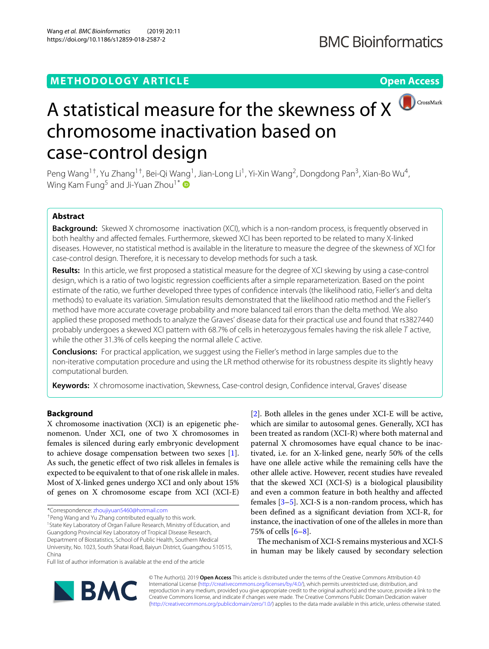# **METHODOLOGY ARTICLE Open Access**



# A statistical measure for the skewness of  $X$ chromosome inactivation based on case-control design

Peng Wang<sup>1†</sup>, Yu Zhang<sup>1†</sup>, Bei-Qi Wang<sup>1</sup>, Jian-Long Li<sup>1</sup>, Yi-Xin Wang<sup>2</sup>, Dongdong Pan<sup>3</sup>, Xian-Bo Wu<sup>4</sup>, Wing Kam Fung<sup>5</sup> and Ji-Yuan Zhou<sup>1\*</sup>

# **Abstract**

**Background:** Skewed X chromosome inactivation (XCI), which is a non-random process, is frequently observed in both healthy and affected females. Furthermore, skewed XCI has been reported to be related to many X-linked diseases. However, no statistical method is available in the literature to measure the degree of the skewness of XCI for case-control design. Therefore, it is necessary to develop methods for such a task.

**Results:** In this article, we first proposed a statistical measure for the degree of XCI skewing by using a case-control design, which is a ratio of two logistic regression coefficients after a simple reparameterization. Based on the point estimate of the ratio, we further developed three types of confidence intervals (the likelihood ratio, Fieller's and delta methods) to evaluate its variation. Simulation results demonstrated that the likelihood ratio method and the Fieller's method have more accurate coverage probability and more balanced tail errors than the delta method. We also applied these proposed methods to analyze the Graves' disease data for their practical use and found that rs3827440 probably undergoes a skewed XCI pattern with 68.7% of cells in heterozygous females having the risk allele T active, while the other 31.3% of cells keeping the normal allele C active.

**Conclusions:** For practical application, we suggest using the Fieller's method in large samples due to the non-iterative computation procedure and using the LR method otherwise for its robustness despite its slightly heavy computational burden.

**Keywords:** X chromosome inactivation, Skewness, Case-control design, Confidence interval, Graves' disease

# **Background**

X chromosome inactivation (XCI) is an epigenetic phenomenon. Under XCI, one of two X chromosomes in females is silenced during early embryonic development to achieve dosage compensation between two sexes [\[1\]](#page-9-0). As such, the genetic effect of two risk alleles in females is expected to be equivalent to that of one risk allele in males. Most of X-linked genes undergo XCI and only about 15% of genes on X chromosome escape from XCI (XCI-E)

\*Correspondence: [zhoujiyuan5460@hotmail.com](mailto: zhoujiyuan5460@hotmail.com)

†Peng Wang and Yu Zhang contributed equally to this work.

<sup>1</sup> State Key Laboratory of Organ Failure Research, Ministry of Education, and Guangdong Provincial Key Laboratory of Tropical Disease Research, Department of Biostatistics, School of Public Health, Southern Medical University, No. 1023, South Shatai Road, Baiyun District, Guangzhou 510515, China

Full list of author information is available at the end of the article

[\[2\]](#page-9-1). Both alleles in the genes under XCI-E will be active, which are similar to autosomal genes. Generally, XCI has been treated as random (XCI-R) where both maternal and paternal X chromosomes have equal chance to be inactivated, i.e. for an X-linked gene, nearly 50% of the cells have one allele active while the remaining cells have the other allele active. However, recent studies have revealed that the skewed XCI (XCI-S) is a biological plausibility and even a common feature in both healthy and affected females [\[3–](#page-9-2)[5\]](#page-9-3). XCI-S is a non-random process, which has been defined as a significant deviation from XCI-R, for instance, the inactivation of one of the alleles in more than 75% of cells [\[6–](#page-9-4)[8\]](#page-9-5).

The mechanism of XCI-S remains mysterious and XCI-S in human may be likely caused by secondary selection



© The Author(s). 2019 **Open Access** This article is distributed under the terms of the Creative Commons Attribution 4.0 International License [\(http://creativecommons.org/licenses/by/4.0/\)](http://creativecommons.org/licenses/by/4.0/), which permits unrestricted use, distribution, and reproduction in any medium, provided you give appropriate credit to the original author(s) and the source, provide a link to the Creative Commons license, and indicate if changes were made. The Creative Commons Public Domain Dedication waiver [\(http://creativecommons.org/publicdomain/zero/1.0/\)](http://creativecommons.org/publicdomain/zero/1.0/) applies to the data made available in this article, unless otherwise stated.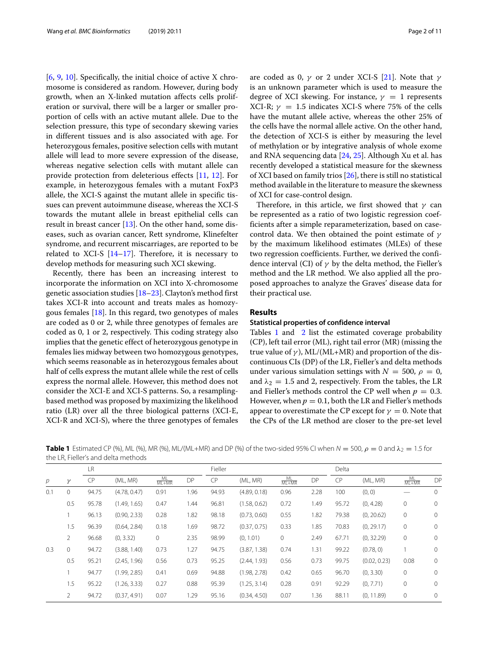[\[6,](#page-9-4) [9,](#page-9-6) [10\]](#page-9-7). Specifically, the initial choice of active X chromosome is considered as random. However, during body growth, when an X-linked mutation affects cells proliferation or survival, there will be a larger or smaller proportion of cells with an active mutant allele. Due to the selection pressure, this type of secondary skewing varies in different tissues and is also associated with age. For heterozygous females, positive selection cells with mutant allele will lead to more severe expression of the disease, whereas negative selection cells with mutant allele can provide protection from deleterious effects [\[11,](#page-9-8) [12\]](#page-9-9). For example, in heterozygous females with a mutant FoxP3 allele, the XCI-S against the mutant allele in specific tissues can prevent autoimmune disease, whereas the XCI-S towards the mutant allele in breast epithelial cells can result in breast cancer  $[13]$ . On the other hand, some diseases, such as ovarian cancer, Rett syndrome, Klinefelter syndrome, and recurrent miscarriages, are reported to be related to XCI-S  $[14-17]$  $[14-17]$ . Therefore, it is necessary to develop methods for measuring such XCI skewing.

Recently, there has been an increasing interest to incorporate the information on XCI into X-chromosome genetic association studies [\[18](#page-9-13)[–23\]](#page-9-14). Clayton's method first takes XCI-R into account and treats males as homozygous females [\[18\]](#page-9-13). In this regard, two genotypes of males are coded as 0 or 2, while three genotypes of females are coded as 0, 1 or 2, respectively. This coding strategy also implies that the genetic effect of heterozygous genotype in females lies midway between two homozygous genotypes, which seems reasonable as in heterozygous females about half of cells express the mutant allele while the rest of cells express the normal allele. However, this method does not consider the XCI-E and XCI-S patterns. So, a resamplingbased method was proposed by maximizing the likelihood ratio (LR) over all the three biological patterns (XCI-E, XCI-R and XCI-S), where the three genotypes of females

are coded as 0,  $\gamma$  or 2 under XCI-S [\[21\]](#page-9-15). Note that  $\gamma$ is an unknown parameter which is used to measure the degree of XCI skewing. For instance,  $\gamma = 1$  represents XCI-R;  $\gamma = 1.5$  indicates XCI-S where 75% of the cells have the mutant allele active, whereas the other 25% of the cells have the normal allele active. On the other hand, the detection of XCI-S is either by measuring the level of methylation or by integrative analysis of whole exome and RNA sequencing data [\[24,](#page-9-16) [25\]](#page-9-17). Although Xu et al. has recently developed a statistical measure for the skewness of XCI based on family trios [\[26\]](#page-9-18), there is still no statistical method available in the literature to measure the skewness of XCI for case-control design.

Therefore, in this article, we first showed that  $\gamma$  can be represented as a ratio of two logistic regression coefficients after a simple reparameterization, based on casecontrol data. We then obtained the point estimate of  $\gamma$ by the maximum likelihood estimates (MLEs) of these two regression coefficients. Further, we derived the confidence interval (CI) of  $\gamma$  by the delta method, the Fieller's method and the LR method. We also applied all the proposed approaches to analyze the Graves' disease data for their practical use.

# **Results**

#### **Statistical properties of confidence interval**

Tables [1](#page-1-0) and [2](#page-2-0) list the estimated coverage probability (CP), left tail error (ML), right tail error (MR) (missing the true value of  $\gamma$ ), ML/(ML+MR) and proportion of the discontinuous CIs (DP) of the LR, Fieller's and delta methods under various simulation settings with  $N = 500$ ,  $\rho = 0$ , and  $\lambda_2 = 1.5$  and 2, respectively. From the tables, the LR and Fieller's methods control the CP well when  $p = 0.3$ . However, when  $p = 0.1$ , both the LR and Fieller's methods appear to overestimate the CP except for  $\gamma = 0$ . Note that the CPs of the LR method are closer to the pre-set level

<span id="page-1-0"></span>

|                                     |  | <b>Table 1</b> Estimated CP (%), ML (%), MR (%), ML/(ML+MR) and DP (%) of the two-sided 95% CI when $N = 500$ , $\rho = 0$ and $\lambda_2 = 1.5$ for |  |
|-------------------------------------|--|------------------------------------------------------------------------------------------------------------------------------------------------------|--|
| the LR, Fieller's and delta methods |  |                                                                                                                                                      |  |
|                                     |  |                                                                                                                                                      |  |

|     |                | LR        |              |                    |      | Fieller   |              |                    |      | Delta |              |                    |              |
|-----|----------------|-----------|--------------|--------------------|------|-----------|--------------|--------------------|------|-------|--------------|--------------------|--------------|
| p   | γ              | <b>CP</b> | (ML, MR)     | $\frac{ML}{ML+MR}$ | DP   | <b>CP</b> | (ML, MR)     | $\frac{ML}{ML+MR}$ | DP   | CP    | (ML, MR)     | $\frac{ML}{ML+MR}$ | DP           |
| 0.1 | 0              | 94.75     | (4.78, 0.47) | 0.91               | 1.96 | 94.93     | (4.89, 0.18) | 0.96               | 2.28 | 100   | (0, 0)       |                    | $\mathbf{0}$ |
|     | 0.5            | 95.78     | (1.49, 1.65) | 0.47               | 1.44 | 96.81     | (1.58, 0.62) | 0.72               | 1.49 | 95.72 | (0, 4.28)    | $\circ$            | $\mathbf 0$  |
|     |                | 96.13     | (0.90, 2.33) | 0.28               | 1.82 | 98.18     | (0.73, 0.60) | 0.55               | 1.82 | 79.38 | (0, 20.62)   | $\circ$            | $\mathbf{0}$ |
|     | 1.5            | 96.39     | (0.64, 2.84) | 0.18               | 1.69 | 98.72     | (0.37, 0.75) | 0.33               | 1.85 | 70.83 | (0, 29.17)   | $\circ$            | $\mathbf{0}$ |
|     | $\overline{2}$ | 96.68     | (0, 3.32)    | 0                  | 2.35 | 98.99     | (0, 1.01)    | 0                  | 2.49 | 67.71 | (0, 32.29)   | $\circ$            | $\mathbf 0$  |
| 0.3 | 0              | 94.72     | (3.88, 1.40) | 0.73               | 1.27 | 94.75     | (3.87, 1.38) | 0.74               | 1.31 | 99.22 | (0.78, 0)    |                    | $\circ$      |
|     | 0.5            | 95.21     | (2.45, 1.96) | 0.56               | 0.73 | 95.25     | (2.44, 1.93) | 0.56               | 0.73 | 99.75 | (0.02, 0.23) | 0.08               | $\circ$      |
|     |                | 94.77     | (1.99, 2.85) | 0.41               | 0.69 | 94.88     | (1.98, 2.78) | 0.42               | 0.65 | 96.70 | (0, 3.30)    | $\circ$            | $\mathbf{0}$ |
|     | 1.5            | 95.22     | (1.26, 3.33) | 0.27               | 0.88 | 95.39     | (1.25, 3.14) | 0.28               | 0.91 | 92.29 | (0, 7.71)    | $\circ$            | $\mathbf{0}$ |
|     | 2              | 94.72     | (0.37, 4.91) | 0.07               | 1.29 | 95.16     | (0.34, 4.50) | 0.07               | 1.36 | 88.11 | (0, 11.89)   | $\mathbf{0}$       | $\mathbf 0$  |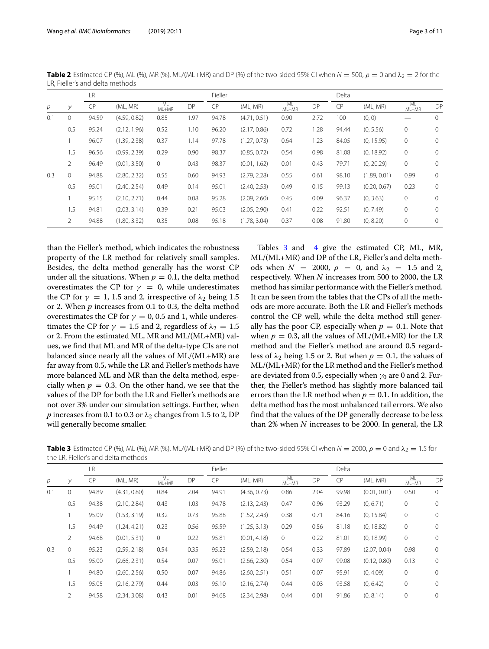|                |                | LR        |              |                    |      | Fieller |              |                    | Delta |       |              |                    |              |
|----------------|----------------|-----------|--------------|--------------------|------|---------|--------------|--------------------|-------|-------|--------------|--------------------|--------------|
| $\overline{p}$ | $\gamma$       | <b>CP</b> | (ML, MR)     | $\frac{ML}{ML+MR}$ | DP   | CP      | (ML, MR)     | $\frac{ML}{ML+MR}$ | DP    | CP    | (ML, MR)     | $\frac{ML}{ML+MR}$ | DP           |
| 0.1            | 0              | 94.59     | (4.59, 0.82) | 0.85               | 1.97 | 94.78   | (4.71, 0.51) | 0.90               | 2.72  | 100   | (0, 0)       |                    | $\mathbf 0$  |
|                | 0.5            | 95.24     | (2.12, 1.96) | 0.52               | 1.10 | 96.20   | (2.17, 0.86) | 0.72               | 1.28  | 94.44 | (0, 5.56)    | $\mathbf 0$        | $\mathbf{0}$ |
|                |                | 96.07     | (1.39, 2.38) | 0.37               | 1.14 | 97.78   | (1.27, 0.73) | 0.64               | 1.23  | 84.05 | (0, 15.95)   | $\circ$            | $\mathbf{0}$ |
|                | 1.5            | 96.56     | (0.99, 2.39) | 0.29               | 0.90 | 98.37   | (0.85, 0.72) | 0.54               | 0.98  | 81.08 | (0, 18.92)   | $\circ$            | $\mathbf{0}$ |
|                | $\overline{2}$ | 96.49     | (0.01, 3.50) | $\circ$            | 0.43 | 98.37   | (0.01, 1.62) | 0.01               | 0.43  | 79.71 | (0, 20.29)   | $\circ$            | $\mathbf 0$  |
| 0.3            | 0              | 94.88     | (2.80, 2.32) | 0.55               | 0.60 | 94.93   | (2.79, 2.28) | 0.55               | 0.61  | 98.10 | (1.89, 0.01) | 0.99               | $\mathbf 0$  |
|                | 0.5            | 95.01     | (2.40, 2.54) | 0.49               | 0.14 | 95.01   | (2.40, 2.53) | 0.49               | 0.15  | 99.13 | (0.20, 0.67) | 0.23               | $\mathbf{0}$ |
|                |                | 95.15     | (2.10, 2.71) | 0.44               | 0.08 | 95.28   | (2.09, 2.60) | 0.45               | 0.09  | 96.37 | (0, 3.63)    | $\circ$            | $\mathbf{0}$ |
|                | 1.5            | 94.81     | (2.03, 3.14) | 0.39               | 0.21 | 95.03   | (2.05, 2.90) | 0.41               | 0.22  | 92.51 | (0, 7.49)    | $\mathbf 0$        | $\mathbf{0}$ |
|                | 2              | 94.88     | (1.80, 3.32) | 0.35               | 0.08 | 95.18   | (1.78, 3.04) | 0.37               | 0.08  | 91.80 | (0, 8.20)    | $\mathbf{0}$       | $\mathbf{0}$ |

<span id="page-2-0"></span>**Table 2** Estimated CP (%), ML (%), MR (%), ML/(ML+MR) and DP (%) of the two-sided 95% CI when  $N = 500$ ,  $\rho = 0$  and  $\lambda_2 = 2$  for the LR, Fieller's and delta methods

than the Fieller's method, which indicates the robustness property of the LR method for relatively small samples. Besides, the delta method generally has the worst CP under all the situations. When  $p = 0.1$ , the delta method overestimates the CP for  $\gamma = 0$ , while underestimates the CP for  $\gamma = 1$ , 1.5 and 2, irrespective of  $\lambda_2$  being 1.5 or 2. When *p* increases from 0.1 to 0.3, the delta method overestimates the CP for  $\gamma = 0$ , 0.5 and 1, while underestimates the CP for  $\gamma = 1.5$  and 2, regardless of  $\lambda_2 = 1.5$ or 2. From the estimated ML, MR and ML/(ML+MR) values, we find that ML and MR of the delta-type CIs are not balanced since nearly all the values of ML/(ML+MR) are far away from 0.5, while the LR and Fieller's methods have more balanced ML and MR than the delta method, especially when  $p = 0.3$ . On the other hand, we see that the values of the DP for both the LR and Fieller's methods are not over 3% under our simulation settings. Further, when *p* increases from 0.1 to 0.3 or  $\lambda_2$  changes from 1.5 to 2, DP will generally become smaller.

Tables [3](#page-2-1) and [4](#page-3-0) give the estimated CP, ML, MR, ML/(ML+MR) and DP of the LR, Fieller's and delta methods when  $N = 2000$ ,  $\rho = 0$ , and  $\lambda_2 = 1.5$  and 2, respectively. When *N* increases from 500 to 2000, the LR method has similar performance with the Fieller's method. It can be seen from the tables that the CPs of all the methods are more accurate. Both the LR and Fieller's methods control the CP well, while the delta method still generally has the poor CP, especially when  $p = 0.1$ . Note that when  $p = 0.3$ , all the values of ML/(ML+MR) for the LR method and the Fieller's method are around 0.5 regardless of  $\lambda_2$  being 1.5 or 2. But when  $p = 0.1$ , the values of ML/(ML+MR) for the LR method and the Fieller's method are deviated from 0.5, especially when  $\gamma_0$  are 0 and 2. Further, the Fieller's method has slightly more balanced tail errors than the LR method when  $p = 0.1$ . In addition, the delta method has the most unbalanced tail errors. We also find that the values of the DP generally decrease to be less than 2% when *N* increases to be 2000. In general, the LR

<span id="page-2-1"></span>**Table 3** Estimated CP (%), ML (%), MR (%), ML/(ML+MR) and DP (%) of the two-sided 95% CI when  $N = 2000$ ,  $\rho = 0$  and  $\lambda_2 = 1.5$  for the LR, Fieller's and delta methods

|                |                | LR        |              |                    |      | Fieller |              |                    |      | Delta |              |                    |              |
|----------------|----------------|-----------|--------------|--------------------|------|---------|--------------|--------------------|------|-------|--------------|--------------------|--------------|
| $\overline{p}$ | $\gamma$       | <b>CP</b> | (ML, MR)     | $\frac{ML}{ML+MR}$ | DP   | CP      | (ML, MR)     | $\frac{ML}{ML+MR}$ | DP   | CP    | (ML, MR)     | $\frac{ML}{ML+MR}$ | DP           |
| 0.1            | 0              | 94.89     | (4.31, 0.80) | 0.84               | 2.04 | 94.91   | (4.36, 0.73) | 0.86               | 2.04 | 99.98 | (0.01, 0.01) | 0.50               | $\mathbf{0}$ |
|                | 0.5            | 94.38     | (2.10, 2.84) | 0.43               | 1.03 | 94.78   | (2.13, 2.43) | 0.47               | 0.96 | 93.29 | (0, 6.71)    | $\circ$            | $\mathbf{0}$ |
|                |                | 95.09     | (1.53, 3.19) | 0.32               | 0.73 | 95.88   | (1.52, 2.43) | 0.38               | 0.71 | 84.16 | (0, 15.84)   | $\mathbf{0}$       | $\mathbf{0}$ |
|                | 1.5            | 94.49     | (1.24, 4.21) | 0.23               | 0.56 | 95.59   | (1.25, 3.13) | 0.29               | 0.56 | 81.18 | (0, 18.82)   | $\circ$            | $\mathbf{0}$ |
|                | $\overline{2}$ | 94.68     | (0.01, 5.31) | 0                  | 0.22 | 95.81   | (0.01, 4.18) | $\overline{0}$     | 0.22 | 81.01 | (0, 18.99)   | $\circ$            | $\mathbf{0}$ |
| 0.3            | 0              | 95.23     | (2.59, 2.18) | 0.54               | 0.35 | 95.23   | (2.59, 2.18) | 0.54               | 0.33 | 97.89 | (2.07, 0.04) | 0.98               | $\mathbf{0}$ |
|                | 0.5            | 95.00     | (2.66, 2.31) | 0.54               | 0.07 | 95.01   | (2.66, 2.30) | 0.54               | 0.07 | 99.08 | (0.12, 0.80) | 0.13               | 0            |
|                |                | 94.80     | (2.60, 2.56) | 0.50               | 0.07 | 94.86   | (2.60, 2.51) | 0.51               | 0.07 | 95.91 | (0, 4.09)    | $\circ$            | $\mathbf{0}$ |
|                | 1.5            | 95.05     | (2.16, 2.79) | 0.44               | 0.03 | 95.10   | (2.16, 2.74) | 0.44               | 0.03 | 93.58 | (0, 6.42)    | $\circ$            | $\mathbf{0}$ |
|                | 2              | 94.58     | (2.34, 3.08) | 0.43               | 0.01 | 94.68   | (2.34, 2.98) | 0.44               | 0.01 | 91.86 | (0, 8.14)    | $\mathbf{0}$       | $\circ$      |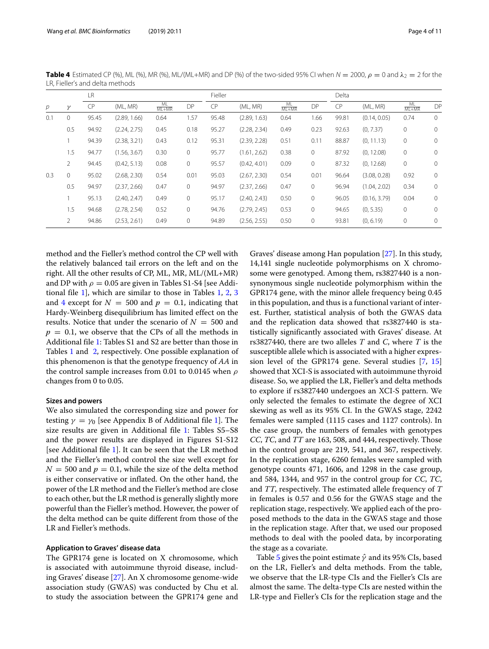|     |     | LR        |              |                    |         | Fieller   |              |                    | Delta       |       |              |                    |              |
|-----|-----|-----------|--------------|--------------------|---------|-----------|--------------|--------------------|-------------|-------|--------------|--------------------|--------------|
| p   | γ   | <b>CP</b> | (ML, MR)     | $\frac{ML}{ML+MR}$ | DP      | <b>CP</b> | (ML, MR)     | $\frac{ML}{ML+MR}$ | DP          | CP    | (ML, MR)     | $\frac{ML}{ML+MR}$ | DP           |
| 0.1 | 0   | 95.45     | (2.89, 1.66) | 0.64               | 1.57    | 95.48     | (2.89, 1.63) | 0.64               | 1.66        | 99.81 | (0.14, 0.05) | 0.74               | $\mathbf{0}$ |
|     | 0.5 | 94.92     | (2.24, 2.75) | 0.45               | 0.18    | 95.27     | (2.28, 2.34) | 0.49               | 0.23        | 92.63 | (0, 7.37)    | $\circ$            | 0            |
|     |     | 94.39     | (2.38, 3.21) | 0.43               | 0.12    | 95.31     | (2.39, 2.28) | 0.51               | 0.11        | 88.87 | (0, 11.13)   | $\circ$            | $\mathbf{0}$ |
|     | 1.5 | 94.77     | (1.56, 3.67) | 0.30               | $\circ$ | 95.77     | (1.61, 2.62) | 0.38               | $\mathbf 0$ | 87.92 | (0, 12.08)   | $\circ$            | $\mathbf{0}$ |
|     | 2   | 94.45     | (0.42, 5.13) | 0.08               | $\circ$ | 95.57     | (0.42, 4.01) | 0.09               | 0           | 87.32 | (0, 12.68)   | $\circ$            | 0            |
| 0.3 | 0   | 95.02     | (2.68, 2.30) | 0.54               | 0.01    | 95.03     | (2.67, 2.30) | 0.54               | 0.01        | 96.64 | (3.08, 0.28) | 0.92               | $\mathbf{0}$ |
|     | 0.5 | 94.97     | (2.37, 2.66) | 0.47               | $\circ$ | 94.97     | (2.37, 2.66) | 0.47               | $\mathbf 0$ | 96.94 | (1.04, 2.02) | 0.34               | $\mathbf 0$  |
|     |     | 95.13     | (2.40, 2.47) | 0.49               | $\circ$ | 95.17     | (2.40, 2.43) | 0.50               | $\mathbf 0$ | 96.05 | (0.16, 3.79) | 0.04               | $\mathbf 0$  |
|     | 1.5 | 94.68     | (2.78, 2.54) | 0.52               | $\circ$ | 94.76     | (2.79, 2.45) | 0.53               | 0           | 94.65 | (0, 5.35)    | 0                  | $\mathbf{0}$ |
|     | 2   | 94.86     | (2.53, 2.61) | 0.49               | 0       | 94.89     | (2.56, 2.55) | 0.50               | 0           | 93.81 | (0, 6.19)    | $\mathbf 0$        | $\mathbf 0$  |

<span id="page-3-0"></span>**Table 4** Estimated CP (%), ML (%), MR (%), ML/(ML+MR) and DP (%) of the two-sided 95% CI when  $N = 2000$ ,  $\rho = 0$  and  $\lambda_2 = 2$  for the LR, Fieller's and delta methods

method and the Fieller's method control the CP well with the relatively balanced tail errors on the left and on the right. All the other results of CP, ML, MR, ML/(ML+MR) and DP with  $\rho = 0.05$  are given in Tables S1-S4 [see Additional file [1\]](#page-8-0), which are similar to those in Tables [1,](#page-1-0) [2,](#page-2-0) [3](#page-2-1) and [4](#page-3-0) except for  $N = 500$  and  $p = 0.1$ , indicating that Hardy-Weinberg disequilibrium has limited effect on the results. Notice that under the scenario of  $N = 500$  and  $p = 0.1$ , we observe that the CPs of all the methods in Additional file [1:](#page-8-0) Tables S1 and S2 are better than those in Tables [1](#page-1-0) and [2,](#page-2-0) respectively. One possible explanation of this phenomenon is that the genotype frequency of *AA* in the control sample increases from 0.01 to 0.0145 when  $\rho$ changes from 0 to 0.05.

#### **Sizes and powers**

We also simulated the corresponding size and power for testing  $\gamma = \gamma_0$  [see Appendix B of Additional file [1\]](#page-8-0). The size results are given in Additional file [1:](#page-8-0) Tables S5–S8 and the power results are displayed in Figures S1-S12 [see Additional file [1\]](#page-8-0). It can be seen that the LR method and the Fieller's method control the size well except for  $N = 500$  and  $p = 0.1$ , while the size of the delta method is either conservative or inflated. On the other hand, the power of the LR method and the Fieller's method are close to each other, but the LR method is generally slightly more powerful than the Fieller's method. However, the power of the delta method can be quite different from those of the LR and Fieller's methods.

#### **Application to Graves' disease data**

The GPR174 gene is located on X chromosome, which is associated with autoimmune thyroid disease, including Graves' disease [\[27\]](#page-9-19). An X chromosome genome-wide association study (GWAS) was conducted by Chu et al. to study the association between the GPR174 gene and

Graves' disease among Han population [\[27\]](#page-9-19). In this study, 14,141 single nucleotide polymorphisms on X chromosome were genotyped. Among them, rs3827440 is a nonsynonymous single nucleotide polymorphism within the GPR174 gene, with the minor allele frequency being 0.45 in this population, and thus is a functional variant of interest. Further, statistical analysis of both the GWAS data and the replication data showed that rs3827440 is statistically significantly associated with Graves' disease. At rs3827440, there are two alleles *T* and *C*, where *T* is the susceptible allele which is associated with a higher expression level of the GPR174 gene. Several studies [\[7,](#page-9-20) [15\]](#page-9-21) showed that XCI-S is associated with autoimmune thyroid disease. So, we applied the LR, Fieller's and delta methods to explore if rs3827440 undergoes an XCI-S pattern. We only selected the females to estimate the degree of XCI skewing as well as its 95% CI. In the GWAS stage, 2242 females were sampled (1115 cases and 1127 controls). In the case group, the numbers of females with genotypes *CC*, *TC*, and *TT* are 163, 508, and 444, respectively. Those in the control group are 219, 541, and 367, respectively. In the replication stage, 6260 females were sampled with genotype counts 471, 1606, and 1298 in the case group, and 584, 1344, and 957 in the control group for *CC*, *TC*, and *TT*, respectively. The estimated allele frequency of *T* in females is 0.57 and 0.56 for the GWAS stage and the replication stage, respectively. We applied each of the proposed methods to the data in the GWAS stage and those in the replication stage. After that, we used our proposed methods to deal with the pooled data, by incorporating the stage as a covariate.

Table [5](#page-4-0) gives the point estimate  $\hat{\gamma}$  and its 95% CIs, based on the LR, Fieller's and delta methods. From the table, we observe that the LR-type CIs and the Fieller's CIs are almost the same. The delta-type CIs are nested within the LR-type and Fieller's CIs for the replication stage and the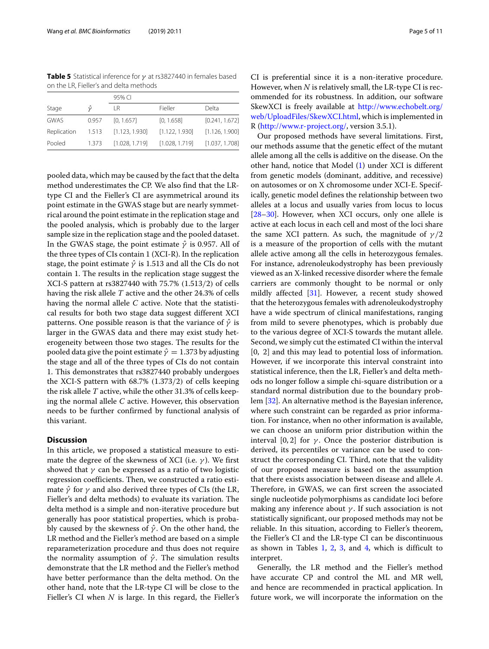<span id="page-4-0"></span>**Table 5** Statistical inference for γ at rs3827440 in females based on the LR, Fieller's and delta methods

|             |       | 95% CI         |                |                |
|-------------|-------|----------------|----------------|----------------|
| Stage       | û     | LR             | Fieller        | Delta          |
| <b>GWAS</b> | 0.957 | [0, 1.657]     | [0, 1.658]     | [0.241, 1.672] |
| Replication | 1.513 | [1.123, 1.930] | [1.122, 1.930] | [1.126, 1.900] |
| Pooled      | 1.373 | [1.028, 1.719] | [1.028, 1.719] | [1.037, 1.708] |

pooled data, which may be caused by the fact that the delta method underestimates the CP. We also find that the LRtype CI and the Fieller's CI are asymmetrical around its point estimate in the GWAS stage but are nearly symmetrical around the point estimate in the replication stage and the pooled analysis, which is probably due to the larger sample size in the replication stage and the pooled dataset. In the GWAS stage, the point estimate  $\hat{\gamma}$  is 0.957. All of the three types of CIs contain 1 (XCI-R). In the replication stage, the point estimate  $\hat{\gamma}$  is 1.513 and all the CIs do not contain 1. The results in the replication stage suggest the XCI-S pattern at rs3827440 with 75.7% (1.513/2) of cells having the risk allele *T* active and the other 24.3% of cells having the normal allele *C* active. Note that the statistical results for both two stage data suggest different XCI patterns. One possible reason is that the variance of  $\hat{\gamma}$  is larger in the GWAS data and there may exist study heterogeneity between those two stages. The results for the pooled data give the point estimate  $\hat{\gamma} = 1.373$  by adjusting the stage and all of the three types of CIs do not contain 1. This demonstrates that rs3827440 probably undergoes the XCI-S pattern with 68.7% (1.373/2) of cells keeping the risk allele *T* active, while the other 31.3% of cells keeping the normal allele *C* active. However, this observation needs to be further confirmed by functional analysis of this variant.

## **Discussion**

In this article, we proposed a statistical measure to estimate the degree of the skewness of XCI (i.e.  $\gamma$ ). We first showed that  $\gamma$  can be expressed as a ratio of two logistic regression coefficients. Then, we constructed a ratio estimate  $\hat{\gamma}$  for  $\gamma$  and also derived three types of CIs (the LR, Fieller's and delta methods) to evaluate its variation. The delta method is a simple and non-iterative procedure but generally has poor statistical properties, which is probably caused by the skewness of  $\hat{\gamma}$ . On the other hand, the LR method and the Fieller's method are based on a simple reparameterization procedure and thus does not require the normality assumption of  $\hat{\gamma}$ . The simulation results demonstrate that the LR method and the Fieller's method have better performance than the delta method. On the other hand, note that the LR-type CI will be close to the Fieller's CI when *N* is large. In this regard, the Fieller's CI is preferential since it is a non-iterative procedure. However, when *N* is relatively small, the LR-type CI is recommended for its robustness. In addition, our software SkewXCI is freely available at [http://www.echobelt.org/](http://www.echobelt.org/web/UploadFiles/SkewXCI.html) [web/UploadFiles/SkewXCI.html,](http://www.echobelt.org/web/UploadFiles/SkewXCI.html) which is implemented in R [\(http://www.r-project.org/,](http://www.r-project.org/) version 3.5.1).

Our proposed methods have several limitations. First, our methods assume that the genetic effect of the mutant allele among all the cells is additive on the disease. On the other hand, notice that Model [\(1\)](#page-5-0) under XCI is different from genetic models (dominant, additive, and recessive) on autosomes or on X chromosome under XCI-E. Specifically, genetic model defines the relationship between two alleles at a locus and usually varies from locus to locus [\[28](#page-10-0)[–30\]](#page-10-1). However, when XCI occurs, only one allele is active at each locus in each cell and most of the loci share the same XCI pattern. As such, the magnitude of  $\gamma/2$ is a measure of the proportion of cells with the mutant allele active among all the cells in heterozygous females. For instance, adrenoleukodystrophy has been previously viewed as an X-linked recessive disorder where the female carriers are commonly thought to be normal or only mildly affected [\[31\]](#page-10-2). However, a recent study showed that the heterozygous females with adrenoleukodystrophy have a wide spectrum of clinical manifestations, ranging from mild to severe phenotypes, which is probably due to the various degree of XCI-S towards the mutant allele. Second, we simply cut the estimated CI within the interval [0, 2] and this may lead to potential loss of information. However, if we incorporate this interval constraint into statistical inference, then the LR, Fieller's and delta methods no longer follow a simple chi-square distribution or a standard normal distribution due to the boundary problem [\[32\]](#page-10-3). An alternative method is the Bayesian inference, where such constraint can be regarded as prior information. For instance, when no other information is available, we can choose an uniform prior distribution within the interval [0, 2] for  $\gamma$ . Once the posterior distribution is derived, its percentiles or variance can be used to construct the corresponding CI. Third, note that the validity of our proposed measure is based on the assumption that there exists association between disease and allele *A*. Therefore, in GWAS, we can first screen the associated single nucleotide polymorphisms as candidate loci before making any inference about  $\gamma$ . If such association is not statistically significant, our proposed methods may not be reliable. In this situation, according to Fieller's theorem, the Fieller's CI and the LR-type CI can be discontinuous as shown in Tables  $1, 2, 3$  $1, 2, 3$  $1, 2, 3$  $1, 2, 3$ , and  $4$ , which is difficult to interpret.

Generally, the LR method and the Fieller's method have accurate CP and control the ML and MR well, and hence are recommended in practical application. In future work, we will incorporate the information on the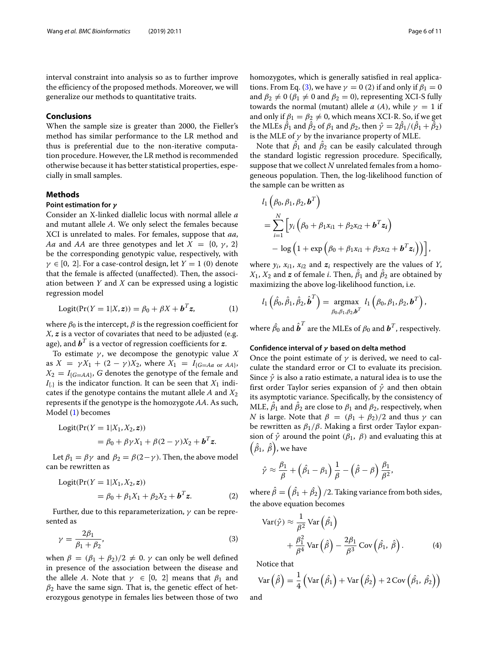interval constraint into analysis so as to further improve the efficiency of the proposed methods. Moreover, we will generalize our methods to quantitative traits.

## **Conclusions**

When the sample size is greater than 2000, the Fieller's method has similar performance to the LR method and thus is preferential due to the non-iterative computation procedure. However, the LR method is recommended otherwise because it has better statistical properties, especially in small samples.

## **Methods**

# **Point estimation for** *γ*

Consider an X-linked diallelic locus with normal allele *a* and mutant allele *A*. We only select the females because XCI is unrelated to males. For females, suppose that *aa*, *Aa* and *AA* are three genotypes and let  $X = \{0, \gamma, 2\}$ be the corresponding genotypic value, respectively, with  $\gamma \in [0, 2]$ . For a case-control design, let  $Y = 1$  (0) denote that the female is affected (unaffected). Then, the association between *Y* and *X* can be expressed using a logistic regression model

<span id="page-5-0"></span>
$$
Logit(Pr(Y = 1 | X, z)) = \beta_0 + \beta X + \boldsymbol{b}^T z,
$$
 (1)

where  $\beta_0$  is the intercept,  $\beta$  is the regression coefficient for *X*, *z* is a vector of covariates that need to be adjusted (e.g. age), and  $\boldsymbol{b}^T$  is a vector of regression coefficients for  $\boldsymbol{z}$ .

To estimate  $\gamma$ , we decompose the genotypic value  $X$ as  $X = \gamma X_1 + (2 - \gamma)X_2$ , where  $X_1 = I_{G=Aa \text{ or } AA}$ ,  $X_2 = I_{G=AA}$ , *G* denotes the genotype of the female and  $I_{\{.\}}$  is the indicator function. It can be seen that  $X_1$  indicates if the genotype contains the mutant allele *A* and *X*<sup>2</sup> represents if the genotype is the homozygote *AA*. As such, Model [\(1\)](#page-5-0) becomes

$$
Logit(Pr(Y = 1 | X_1, X_2, \mathbf{z}))
$$
  
=  $\beta_0 + \beta \gamma X_1 + \beta (2 - \gamma) X_2 + \mathbf{b}^T \mathbf{z}.$ 

Let  $\beta_1 = \beta \gamma$  and  $\beta_2 = \beta(2-\gamma)$ . Then, the above model can be rewritten as

$$
Logit(Pr(Y = 1 | X_1, X_2, z))
$$
  
=  $\beta_0 + \beta_1 X_1 + \beta_2 X_2 + b^T z.$  (2)

Further, due to this reparameterization,  $\gamma$  can be represented as

<span id="page-5-1"></span>
$$
\gamma = \frac{2\beta_1}{\beta_1 + \beta_2},\tag{3}
$$

when  $\beta = (\beta_1 + \beta_2)/2 \neq 0$ .  $\gamma$  can only be well defined in presence of the association between the disease and the allele *A*. Note that  $\gamma \in [0, 2]$  means that  $\beta_1$  and  $\beta_2$  have the same sign. That is, the genetic effect of heterozygous genotype in females lies between those of two

homozygotes, which is generally satisfied in real applica-tions. From Eq. [\(3\)](#page-5-1), we have  $\gamma = 0$  (2) if and only if  $\beta_1 = 0$ and  $\beta_2 \neq 0$  ( $\beta_1 \neq 0$  and  $\beta_2 = 0$ ), representing XCI-S fully towards the normal (mutant) allele *a* (*A*), while  $\gamma = 1$  if and only if  $\beta_1 = \beta_2 \neq 0$ , which means XCI-R. So, if we get the MLEs  $\beta_1$  and  $\beta_2$  of  $\beta_1$  and  $\beta_2$ , then  $\hat{\gamma} = 2\beta_1/(\beta_1 + \beta_2)$ is the MLE of  $\gamma$  by the invariance property of MLE.

Note that  $\beta_1$  and  $\beta_2$  can be easily calculated through the standard logistic regression procedure. Specifically, suppose that we collect *N* unrelated females from a homogeneous population. Then, the log-likelihood function of the sample can be written as

$$
l_1 (\beta_0, \beta_1, \beta_2, \boldsymbol{b}^T)
$$
  
=  $\sum_{i=1}^N \left[ y_i (\beta_0 + \beta_1 x_{i1} + \beta_2 x_{i2} + \boldsymbol{b}^T \boldsymbol{z}_i) - \log (1 + \exp (\beta_0 + \beta_1 x_{i1} + \beta_2 x_{i2} + \boldsymbol{b}^T \boldsymbol{z}_i)) \right],$ 

where  $y_i$ ,  $x_{i1}$ ,  $x_{i2}$  and  $z_i$  respectively are the values of *Y*,  $X_1, X_2$  and  $\boldsymbol{z}$  of female *i*. Then,  $\beta_1$  and  $\beta_2$  are obtained by maximizing the above log-likelihood function, i.e.

$$
l_1\left(\hat{\beta}_0, \hat{\beta}_1, \hat{\beta}_2, \hat{\boldsymbol{b}}^T\right) = \underset{\beta_0, \beta_1, \beta_2, \boldsymbol{b}^T}{\text{argmax}} l_1\left(\beta_0, \beta_1, \beta_2, \boldsymbol{b}^T\right),
$$

where  $\hat{\beta_0}$  and  $\hat{\boldsymbol{b}}^T$  are the MLEs of  $\beta_0$  and  $\boldsymbol{b}^T$ , respectively.

#### **Confidence interval of** *γ* **based on delta method**

Once the point estimate of  $\gamma$  is derived, we need to calculate the standard error or CI to evaluate its precision. Since  $\hat{\gamma}$  is also a ratio estimate, a natural idea is to use the first order Taylor series expansion of  $\hat{\gamma}$  and then obtain its asymptotic variance. Specifically, by the consistency of MLE,  $\beta_1$  and  $\beta_2$  are close to  $\beta_1$  and  $\beta_2$ , respectively, when *N* is large. Note that  $\beta = (\beta_1 + \beta_2)/2$  and thus  $\gamma$  can be rewritten as  $\beta_1/\beta$ . Making a first order Taylor expansion of  $\hat{\gamma}$  around the point  $(\beta_1, \beta)$  and evaluating this at  $\left(\hat{\beta}_{1},\ \hat{\beta}\right)$ , we have

$$
\hat{\gamma} \approx \frac{\beta_1}{\beta} + \left(\hat{\beta_1} - \beta_1\right) \frac{1}{\beta} - \left(\hat{\beta} - \beta\right) \frac{\beta_1}{\beta^2},
$$

<span id="page-5-2"></span>where  $\hat{\beta}=\left(\hat{\beta_{1}}+\hat{\beta_{2}}\right)/2$ . Taking variance from both sides, the above equation becomes

<span id="page-5-3"></span>
$$
Var(\hat{\gamma}) \approx \frac{1}{\beta^2} Var(\hat{\beta}_1)
$$
  
+  $\frac{\beta_1^2}{\beta^4} Var(\hat{\beta}) - \frac{2\beta_1}{\beta^3} Cov(\hat{\beta}_1, \hat{\beta}).$  (4)

Notice that

$$
\text{Var} \left( \hat{\beta} \right) = \frac{1}{4} \left( \text{Var} \left( \hat{\beta}_1 \right) + \text{Var} \left( \hat{\beta}_2 \right) + 2 \text{Cov} \left( \hat{\beta}_1, \hat{\beta}_2 \right) \right)
$$

and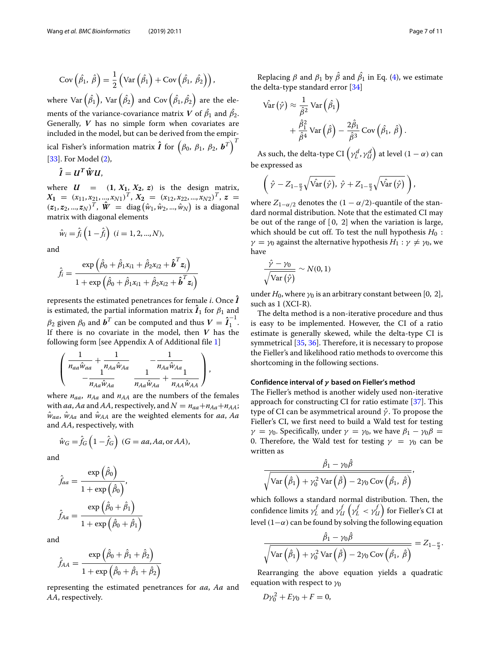$$
Cov\left(\hat{\beta}_1, \hat{\beta}\right) = \frac{1}{2} \left( Var\left(\hat{\beta}_1\right) + Cov\left(\hat{\beta}_1, \hat{\beta}_2\right)\right),\
$$

where Var  $\left(\hat{\beta_1}\right)$ , Var  $\left(\hat{\beta_2}\right)$  and Cov  $\left(\hat{\beta_1},\hat{\beta_2}\right)$  are the elements of the variance-covariance matrix *V* of  $\beta_1$  and  $\beta_2$ . Generally, *V* has no simple form when covariates are included in the model, but can be derived from the empirical Fisher's information matrix  $\boldsymbol{\hat{I}}$  for  $\left(\beta_0, \ \beta_1, \ \beta_2, \ \boldsymbol{b}^T\right)^T$ [\[33\]](#page-10-4). For Model [\(2\)](#page-5-2),

$$
\hat{I}=U^T\hat{W}U,
$$

where  $U = (1, X_1, X_2, z)$  is the design matrix,  $X_1 = (x_{11}, x_{21}, ..., x_{N1})^T, X_2 = (x_{12}, x_{22}, ..., x_{N2})^T, z =$  $(z_1, z_2, ..., z_N)^T$ ,  $\hat{W} = \text{diag}(\hat{w}_1, \hat{w}_2, ..., \hat{w}_N)$  is a diagonal matrix with diagonal elements

$$
\hat{w}_i = \hat{f}_i \left( 1 - \hat{f}_i \right) \ (i = 1, 2, ..., N),
$$

and

$$
\hat{f}_i = \frac{\exp\left(\hat{\beta}_0 + \hat{\beta}_1 x_{i1} + \hat{\beta}_2 x_{i2} + \hat{\boldsymbol{b}}^T \boldsymbol{z}_i\right)}{1 + \exp\left(\hat{\beta}_0 + \hat{\beta}_1 x_{i1} + \hat{\beta}_2 x_{i2} + \hat{\boldsymbol{b}}^T \boldsymbol{z}_i\right)}
$$

represents the estimated penetrances for female  $i$ . Once  $\boldsymbol{I}$ is estimated, the partial information matrix  $\boldsymbol{I}_1$  for  $\beta_1$  and  $\beta_2$  given  $\beta_0$  and  $\boldsymbol{b}^T$  can be computed and thus  $V = \hat{\boldsymbol{I}}_1^{-1}$ . If there is no covariate in the model, then *V* has the following form [see Appendix A of Additional file [1\]](#page-8-0)

$$
\left(\begin{array}{cc} \frac{1}{n_{aa}\hat{w}_{aa}}+\frac{1}{n_{Aa}\hat{w}_{Aa}} & -\frac{1}{n_{Aa}\hat{w}_{Aa}}\\ -\frac{1}{n_{Aa}\hat{w}_{Aa}} & \frac{1}{n_{Aa}\hat{w}_{Aa}}+\frac{1}{n_{AA}\hat{w}_{AA}} \end{array}\right),
$$

where  $n_{aa}$ ,  $n_{Aa}$  and  $n_{AA}$  are the numbers of the females with *aa*, *Aa* and *AA*, respectively, and  $N = n_{aa} + n_{Aa} + n_{AA}$ ;  $\hat{w}_{aa}$ ,  $\hat{w}_{Aa}$  and  $\hat{w}_{AA}$  are the weighted elements for *aa*, *Aa* and *AA*, respectively, with

$$
\hat{w}_G = \hat{f}_G \left( 1 - \hat{f}_G \right) \ (G = aa, Aa, \text{or } AA),
$$

and

$$
\hat{f}_{aa} = \frac{\exp(\hat{\beta}_0)}{1 + \exp(\hat{\beta}_0)},
$$

$$
\hat{f}_{Aa} = \frac{\exp(\hat{\beta}_0 + \hat{\beta}_1)}{1 + \exp(\hat{\beta}_0 + \hat{\beta}_1)}
$$

and

$$
\hat{f}_{AA} = \frac{\exp\left(\hat{\beta}_0 + \hat{\beta}_1 + \hat{\beta}_2\right)}{1 + \exp\left(\hat{\beta}_0 + \hat{\beta}_1 + \hat{\beta}_2\right)}
$$

representing the estimated penetrances for *aa*, *Aa* and *AA*, respectively.

Replacing  $\beta$  and  $\beta_1$  by  $\beta$  and  $\beta_1$  in Eq. [\(4\)](#page-5-3), we estimate the delta-type standard error [\[34\]](#page-10-5)

$$
\begin{split} \hat{\text{Var}}\left(\hat{\gamma}\right) &\approx \frac{1}{\hat{\beta}^2} \text{Var}\left(\hat{\beta}_1\right) \\ &+ \frac{\hat{\beta}_1^2}{\hat{\beta}^4} \text{Var}\left(\hat{\beta}\right) - \frac{2\hat{\beta}_1}{\hat{\beta}^3} \text{Cov}\left(\hat{\beta}_1, \ \hat{\beta}\right). \end{split}
$$

As such, the delta-type CI  $\left(\gamma^d_L,\gamma^d_{U}\right)$  at level  $(1-\alpha)$  can be expressed as

$$
\left(\hat{\gamma}-Z_{1-\frac{\alpha}{2}}\sqrt{\hat{\text{Var}}\left(\hat{\gamma}\right)}, \ \hat{\gamma}+Z_{1-\frac{\alpha}{2}}\sqrt{\hat{\text{Var}}\left(\hat{\gamma}\right)}\right),\right.
$$

where  $Z_{1-\alpha/2}$  denotes the  $(1 - \alpha/2)$ -quantile of the standard normal distribution. Note that the estimated CI may be out of the range of  $[0, 2]$  when the variation is large, which should be cut off. To test the null hypothesis  $H_0$ :  $\gamma = \gamma_0$  against the alternative hypothesis  $H_1 : \gamma \neq \gamma_0$ , we have

$$
\frac{\hat{\gamma} - \gamma_0}{\sqrt{\text{Var}(\hat{\gamma})}} \sim N(0, 1)
$$

under  $H_0$ , where  $\gamma_0$  is an arbitrary constant between [0, 2], such as 1 (XCI-R).

The delta method is a non-iterative procedure and thus is easy to be implemented. However, the CI of a ratio estimate is generally skewed, while the delta-type CI is symmetrical [\[35,](#page-10-6) [36\]](#page-10-7). Therefore, it is necessary to propose the Fieller's and likelihood ratio methods to overcome this shortcoming in the following sections.

#### **Confidence interval of** *γ* **based on Fieller's method**

The Fieller's method is another widely used non-iterative approach for constructing CI for ratio estimate [\[37\]](#page-10-8). This type of CI can be asymmetrical around  $\hat{\gamma}$ . To propose the Fieller's CI, we first need to build a Wald test for testing  $\gamma = \gamma_0$ . Specifically, under  $\gamma = \gamma_0$ , we have  $\beta_1 - \gamma_0 \beta =$ 0. Therefore, the Wald test for testing  $\gamma = \gamma_0$  can be written as

$$
\frac{\hat{\beta}_1 - \gamma_0 \hat{\beta}}{\sqrt{\text{Var}\left(\hat{\beta}_1\right) + \gamma_0^2 \text{Var}\left(\hat{\beta}\right) - 2 \gamma_0 \text{Cov}\left(\hat{\beta}_1, \ \hat{\beta}\right)}},
$$

which follows a standard normal distribution. Then, the  $\text{confidence limits }\gamma_{L}^{f} \text{ and } \gamma_{U}^{f}\left(\gamma_{L}^{f} < \gamma_{U}^{f}\right) \text{ for Fieller's CI at }$ level (1- $\alpha$ ) can be found by solving the following equation

$$
\frac{\hat{\beta}_1 - \gamma_0 \hat{\beta}}{\sqrt{\text{Var}(\hat{\beta}_1) + \gamma_0^2 \text{Var}(\hat{\beta}) - 2\gamma_0 \text{Cov}(\hat{\beta}_1, \hat{\beta})}} = Z_{1-\frac{\alpha}{2}}.
$$

Rearranging the above equation yields a quadratic equation with respect to  $\gamma_0$ 

$$
D\gamma_0^2 + E\gamma_0 + F = 0,
$$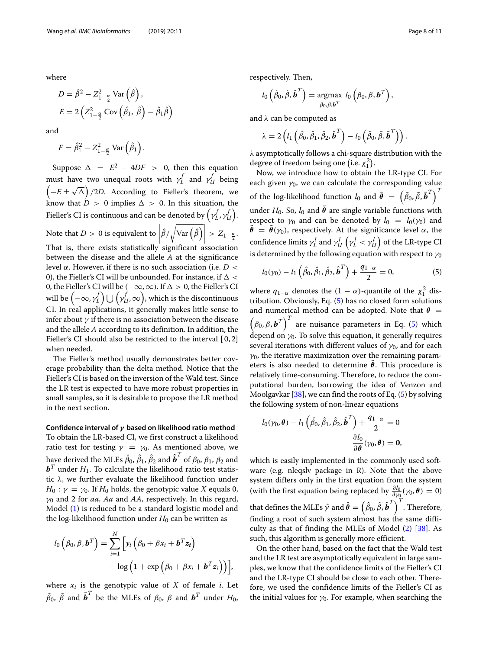where

$$
D = \hat{\beta}^2 - Z_{1-\frac{\alpha}{2}}^2 \text{Var}\left(\hat{\beta}\right),
$$
  

$$
E = 2\left(Z_{1-\frac{\alpha}{2}}^2 \text{Cov}\left(\hat{\beta}_1, \hat{\beta}\right) - \hat{\beta}_1 \hat{\beta}\right)
$$

and

$$
F = \hat{\beta}_1^2 - Z_{1-\frac{\alpha}{2}}^2 \operatorname{Var}\left(\hat{\beta}_1\right).
$$

Suppose  $\Delta = E^2 - 4DF > 0$ , then this equation must have two unequal roots with  $\gamma_L^f$  and  $\gamma_U^f$  being  $\left(-E \pm \sqrt{\Delta}\right)$  /2*D*. According to Fieller's theorem, we know that  $\dot{D} > 0$  implies  $\Delta > 0$ . In this situation, the Fieller's CI is continuous and can be denoted by  $\left(\gamma^f_L,\gamma^f_U\right)$ . Note that *D* > 0 is equivalent to  $\left|\hat{\beta}/\sqrt{\text{Var}\left(\hat{\beta}\right)}\right|$  >  $Z_{1-\frac{\alpha}{2}}$ . That is, there exists statistically significant association between the disease and the allele *A* at the significance level α. However, if there is no such association (i.e. *D* < 0), the Fieller's CI will be unbounded. For instance, if  $\Delta$  < 0, the Fieller's CI will be  $(-\infty, \infty)$ . If  $\Delta > 0$ , the Fieller's CI will be  $\left( -\infty, \gamma^f_L \right) \bigcup \left( \gamma^f_{\mathcal{U}}, \infty \right)$ , which is the discontinuous CI. In real applications, it generally makes little sense to infer about  $\gamma$  if there is no association between the disease and the allele *A* according to its definition. In addition, the Fieller's CI should also be restricted to the interval [0,2] when needed.

The Fieller's method usually demonstrates better coverage probability than the delta method. Notice that the Fieller's CI is based on the inversion of the Wald test. Since the LR test is expected to have more robust properties in small samples, so it is desirable to propose the LR method in the next section.

**Confidence interval of** *γ* **based on likelihood ratio method** To obtain the LR-based CI, we first construct a likelihood ratio test for testing  $\gamma = \gamma_0$ . As mentioned above, we have derived the MLEs  $\hat{\beta}_0, \hat{\beta}_1, \hat{\beta}_2$  and  $\hat{\boldsymbol{b}}^T$  of  $\beta_0, \beta_1, \beta_2$  and  $\boldsymbol{b}^T$  under  $H_1$ . To calculate the likelihood ratio test statistic λ, we further evaluate the likelihood function under  $H_0: \gamma = \gamma_0$ . If  $H_0$  holds, the genotypic value *X* equals 0, γ<sup>0</sup> and 2 for *aa*, *Aa* and *AA*, respectively. In this regard, Model [\(1\)](#page-5-0) is reduced to be a standard logistic model and the log-likelihood function under  $H_0$  can be written as

$$
l_0(\beta_0, \beta, \boldsymbol{b}^T) = \sum_{i=1}^N \left[ y_i \left( \beta_0 + \beta x_i + \boldsymbol{b}^T \boldsymbol{z}_i \right) - \log \left( 1 + \exp \left( \beta_0 + \beta x_i + \boldsymbol{b}^T \boldsymbol{z}_i \right) \right) \right],
$$

where  $x_i$  is the genotypic value of  $X$  of female  $i$ . Let  $\tilde{\beta}_0$ ,  $\tilde{\beta}$  and  $\tilde{\boldsymbol{b}}^T$  be the MLEs of  $\beta_0$ ,  $\beta$  and  $\boldsymbol{b}^T$  under  $H_0$ ,

respectively. Then,

$$
l_0\left(\tilde{\beta}_0, \tilde{\beta}, \tilde{\boldsymbol{b}}^T\right) = \underset{\beta_0, \beta, \boldsymbol{b}^T}{\text{argmax}} l_0\left(\beta_0, \beta, \boldsymbol{b}^T\right),
$$

and λ can be computed as

$$
\lambda = 2\left(l_1\left(\hat{\beta}_0, \hat{\beta}_1, \hat{\beta}_2, \hat{\boldsymbol{b}}^T\right) - l_0\left(\tilde{\beta}_0, \tilde{\beta}, \tilde{\boldsymbol{b}}^T\right)\right).
$$

λ asymptotically follows a chi-square distribution with the degree of freedom being one (i.e.  $\chi_1^2$ ).

Now, we introduce how to obtain the LR-type CI. For each given  $\gamma_0$ , we can calculate the corresponding value of the log-likelihood function  $l_0$  and  $\tilde{\boldsymbol{\theta}}~=~\left(\tilde{\beta}_0, \tilde{\beta}, \tilde{\boldsymbol{b}}^T\right)^T$ under  $H_0$ . So,  $l_0$  and  $\boldsymbol{\theta}$  are single variable functions with respect to  $γ_0$  and can be denoted by  $l_0 = l_0(γ_0)$  and  $\tilde{\theta} = \tilde{\theta}(γ_0)$ , respectively. At the significance level α, the confidence limits  $\gamma^l_L$  and  $\gamma^l_U\left(\gamma^l_L<\gamma^l_U\right)$  of the LR-type CI is determined by the following equation with respect to  $\gamma_0$ 

<span id="page-7-0"></span>
$$
l_0(\gamma_0) - l_1\left(\hat{\beta}_0, \hat{\beta}_1, \hat{\beta}_2, \hat{\boldsymbol{b}}^T\right) + \frac{q_{1-\alpha}}{2} = 0,
$$
 (5)

where  $q_{1-\alpha}$  denotes the  $(1-\alpha)$ -quantile of the  $\chi_1^2$  distribution. Obviously, Eq. [\(5\)](#page-7-0) has no closed form solutions and numerical method can be adopted. Note that  $\theta$  =  $\left(\beta_0, \beta, \boldsymbol{b}^T\right)^T$  are nuisance parameters in Eq. [\(5\)](#page-7-0) which depend on  $\gamma_0$ . To solve this equation, it generally requires several iterations with different values of  $\gamma_0$ , and for each  $\gamma_0$ , the iterative maximization over the remaining parameters is also needed to determine  $θ$ . This procedure is relatively time-consuming. Therefore, to reduce the computational burden, borrowing the idea of Venzon and Moolgavkar [\[38\]](#page-10-9), we can find the roots of Eq.  $(5)$  by solving the following system of non-linear equations

$$
l_0(\gamma_0, \boldsymbol{\theta}) - l_1 \left( \hat{\beta}_0, \hat{\beta}_1, \hat{\beta}_2, \hat{\boldsymbol{b}}^T \right) + \frac{q_{1-\alpha}}{2} = 0
$$

$$
\frac{\partial l_0}{\partial \boldsymbol{\theta}}(\gamma_0, \boldsymbol{\theta}) = \mathbf{0},
$$

which is easily implemented in the commonly used software (e.g. nleqslv package in R). Note that the above system differs only in the first equation from the system (with the first equation being replaced by  $\frac{\partial l_0}{\partial \gamma_0}(\gamma_0, \theta) = 0$ ) that defines the MLEs  $\hat{\mathcal{V}}$  and  $\hat{\pmb{\theta}} = \left(\hat{\beta}_0, \hat{\beta}, \hat{\pmb{b}}^T\right)^T$ . Therefore, finding a root of such system almost has the same difficulty as that of finding the MLEs of Model [\(2\)](#page-5-2) [\[38\]](#page-10-9). As such, this algorithm is generally more efficient.

On the other hand, based on the fact that the Wald test and the LR test are asymptotically equivalent in large samples, we know that the confidence limits of the Fieller's CI and the LR-type CI should be close to each other. Therefore, we used the confidence limits of the Fieller's CI as the initial values for  $\gamma_0$ . For example, when searching the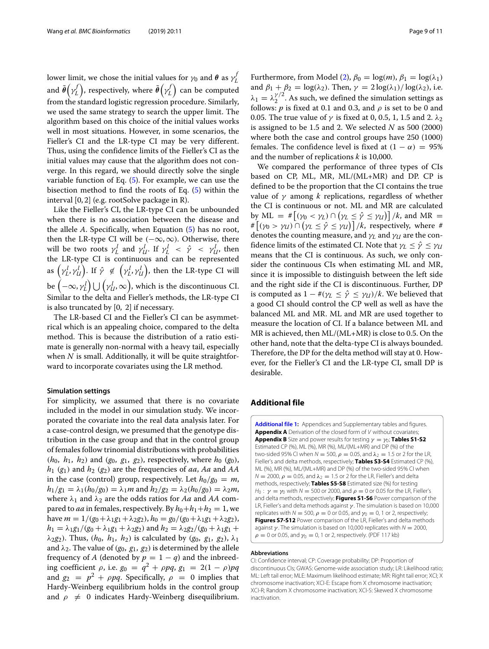lower limit, we chose the initial values for  $\gamma_0$  and  $\theta$  as  $\gamma_L^f$ and  $\tilde{\pmb{\theta}}\big(\gamma_{L}^{f}\big)$ , respectively, where  $\tilde{\pmb{\theta}}\big(\gamma_{L}^{f}\big)$  can be computed from the standard logistic regression procedure. Similarly, we used the same strategy to search the upper limit. The algorithm based on this choice of the initial values works well in most situations. However, in some scenarios, the Fieller's CI and the LR-type CI may be very different. Thus, using the confidence limits of the Fieller's CI as the initial values may cause that the algorithm does not converge. In this regard, we should directly solve the single variable function of Eq. [\(5\)](#page-7-0). For example, we can use the bisection method to find the roots of Eq. [\(5\)](#page-7-0) within the interval [0, 2] (e.g. rootSolve package in R).

Like the Fieller's CI, the LR-type CI can be unbounded when there is no association between the disease and the allele *A*. Specifically, when Equation [\(5\)](#page-7-0) has no root, then the LR-type CI will be  $(-\infty, \infty)$ . Otherwise, there will be two roots  $\gamma_L^l$  and  $\gamma_{U}^l$ . If  $\gamma_L^l \leq \hat{\gamma} \leq \gamma_{U}^l$ , then the LR-type CI is continuous and can be represented as  $\left(\gamma_L^l, \gamma_U^l\right)$ . If  $\hat{\gamma} \notin \left(\gamma_L^l, \gamma_U^l\right)$ , then the LR-type CI will be  $\left( -\infty, \gamma^l_L \right) \bigcup \left( \gamma^l_{l l}, \infty \right)$ , which is the discontinuous CI. Similar to the delta and Fieller's methods, the LR-type CI is also truncated by [0, 2] if necessary.

The LR-based CI and the Fieller's CI can be asymmetrical which is an appealing choice, compared to the delta method. This is because the distribution of a ratio estimate is generally non-normal with a heavy tail, especially when *N* is small. Additionally, it will be quite straightforward to incorporate covariates using the LR method.

#### **Simulation settings**

For simplicity, we assumed that there is no covariate included in the model in our simulation study. We incorporated the covariate into the real data analysis later. For a case-control design, we presumed that the genotype distribution in the case group and that in the control group of females follow trinomial distributions with probabilities  $(h_0, h_1, h_2)$  and  $(g_0, g_1, g_2)$ , respectively, where  $h_0 (g_0)$ , *h*<sup>1</sup> (*g*1) and *h*<sup>2</sup> (*g*2) are the frequencies of *aa*, *Aa* and *AA* in the case (control) group, respectively. Let  $h_0/g_0 = m$ ,  $h_1/g_1 = \lambda_1(h_0/g_0) = \lambda_1 m$  and  $h_2/g_2 = \lambda_2(h_0/g_0) = \lambda_2 m$ , where  $\lambda_1$  and  $\lambda_2$  are the odds ratios for *Aa* and *AA* compared to *aa* in females, respectively. By  $h_0+h_1+h_2=1$ , we have  $m = 1/(g_0 + \lambda_1 g_1 + \lambda_2 g_2)$ ,  $h_0 = g_0/(g_0 + \lambda_1 g_1 + \lambda_2 g_2)$ ,  $h_1 = \lambda_1 g_1/(g_0 + \lambda_1 g_1 + \lambda_2 g_2)$  and  $h_2 = \lambda_2 g_2/(g_0 + \lambda_1 g_1 +$  $\lambda_2 g_2$ ). Thus,  $(h_0, h_1, h_2)$  is calculated by  $(g_0, g_1, g_2)$ ,  $\lambda_1$ and  $\lambda_2$ . The value of  $(g_0, g_1, g_2)$  is determined by the allele frequency of *A* (denoted by  $p = 1 - q$ ) and the inbreeding coefficient <sup>ρ</sup>, i.e. *<sup>g</sup>*<sup>0</sup> <sup>=</sup> *<sup>q</sup>*<sup>2</sup> <sup>+</sup> <sup>ρ</sup>*pq*, *<sup>g</sup>*<sup>1</sup> <sup>=</sup> <sup>2</sup>(<sup>1</sup> <sup>−</sup> ρ)*pq* and  $g_2 = p^2 + \rho pq$ . Specifically,  $\rho = 0$  implies that Hardy-Weinberg equilibrium holds in the control group and  $\rho \neq 0$  indicates Hardy-Weinberg disequilibrium. Furthermore, from Model [\(2\)](#page-5-2),  $\beta_0 = \log(m)$ ,  $\beta_1 = \log(\lambda_1)$ and  $\beta_1 + \beta_2 = \log(\lambda_2)$ . Then,  $\gamma = 2 \log(\lambda_1) / \log(\lambda_2)$ , i.e.  $\lambda_1 = \lambda_2^{\gamma/2}$ . As such, we defined the simulation settings as follows:  $p$  is fixed at 0.1 and 0.3, and  $\rho$  is set to be 0 and 0.05. The true value of  $\gamma$  is fixed at 0, 0.5, 1, 1.5 and 2.  $\lambda_2$ is assigned to be 1.5 and 2. We selected *N* as 500 (2000) where both the case and control groups have 250 (1000) females. The confidence level is fixed at  $(1 - \alpha) = 95\%$ and the number of replications *k* is 10,000.

We compared the performance of three types of CIs based on CP, ML, MR, ML/(ML+MR) and DP. CP is defined to be the proportion that the CI contains the true value of  $\gamma$  among *k* replications, regardless of whether the CI is continuous or not. ML and MR are calculated by ML =  $\#\left[ (\gamma_0 < \gamma_L) \cap (\gamma_L \leq \hat{\gamma} \leq \gamma_U) \right] / k$ , and MR =  $\mathcal{H}\left[\left(\gamma_0 > \gamma_U\right) \cap \left(\gamma_L \leq \hat{\gamma} \leq \gamma_U\right)\right] / k$ , respectively, where # denotes the counting measure, and γ*<sup>L</sup>* and γ*<sup>U</sup>* are the confidence limits of the estimated CI. Note that  $\gamma_L \leq \hat{\gamma} \leq \gamma_U$ means that the CI is continuous. As such, we only consider the continuous CIs when estimating ML and MR, since it is impossible to distinguish between the left side and the right side if the CI is discontinuous. Further, DP is computed as  $1 - \#(\gamma_L \leq \hat{\gamma} \leq \gamma_U)/k$ . We believed that a good CI should control the CP well as well as have the balanced ML and MR. ML and MR are used together to measure the location of CI. If a balance between ML and MR is achieved, then ML/(ML+MR) is close to 0.5. On the other hand, note that the delta-type CI is always bounded. Therefore, the DP for the delta method will stay at 0. However, for the Fieller's CI and the LR-type CI, small DP is desirable.

# **Additional file**

<span id="page-8-0"></span>**[Additional file 1:](https://doi.org/10.1186/s12859-018-2587-2)** Appendices and Supplementary tables and figures. **Appendix A** Derivation of the closed form of V without covariates; **Appendix B** Size and power results for testing  $\gamma = \gamma_0$ ; **Tables S1-S2** Estimated CP (%), ML (%), MR (%), ML/(ML+MR) and DP (%) of the two-sided 95% CI when  $N = 500$ ,  $\rho = 0.05$ , and  $\lambda_2 = 1.5$  or 2 for the LR, Fieller's and delta methods, respectively; **Tables S3-S4** Estimated CP (%), ML (%), MR (%), ML/(ML+MR) and DP (%) of the two-sided 95% CI when  $N = 2000$ ,  $\rho = 0.05$ , and  $\lambda_2 = 1.5$  or 2 for the LR, Fieller's and delta methods, respectively; **Tables S5-S8** Estimated size (%) for testing H<sub>0</sub> :  $\gamma = \gamma_0$  with N = 500 or 2000, and  $\rho = 0$  or 0.05 for the LR, Fieller's and delta methods, respectively; **Figures S1-S6** Power comparison of the LR, Fieller's and delta methods against  $\gamma$ . The simulation is based on 10,000 replicates with  $N = 500$ ,  $\rho = 0$  or 0.05, and  $\gamma_0 = 0$ , 1 or 2, respectively; **Figures S7-S12** Power comparison of the LR, Fieller's and delta methods against  $\gamma$ . The simulation is based on 10,000 replicates with  $N = 2000$ ,  $\rho = 0$  or 0.05, and  $\gamma_0 = 0$ , 1 or 2, respectively. (PDF 117 kb)

#### **Abbreviations**

CI: Confidence interval; CP: Coverage probability; DP: Proportion of discontinuous CIs; GWAS: Genome-wide association study; LR: Likelihood ratio; ML: Left tail error; MLE: Maximum likelihood estimate; MR: Right tail error; XCI; X chromosome inactivation; XCI-E: Escape from X chromosome inactivation; XCI-R; Random X chromosome inactivation; XCI-S: Skewed X chromosome inactivation.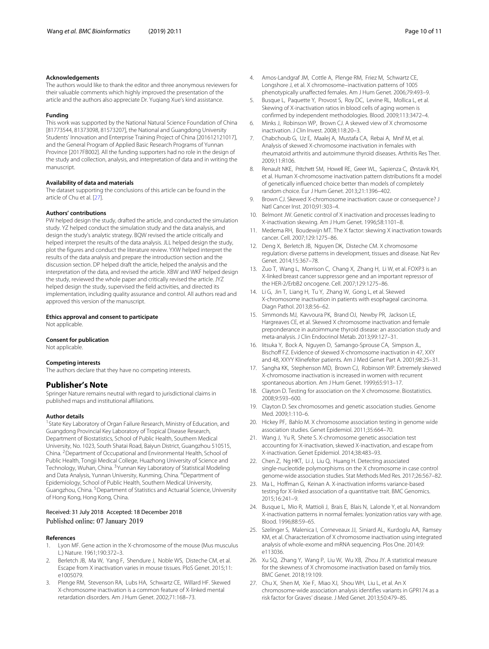#### **Acknowledgements**

The authors would like to thank the editor and three anonymous reviewers for their valuable comments which highly improved the presentation of the article and the authors also appreciate Dr. Yuqiang Xue's kind assistance.

#### **Funding**

This work was supported by the National Natural Science Foundation of China [81773544, 81373098, 81573207], the National and Guangdong University Students' Innovation and Enterprise Training Project of China [201612121017], and the General Program of Applied Basic Research Programs of Yunnan Province [2017FB002]. All the funding supporters had no role in the design of the study and collection, analysis, and interpretation of data and in writing the manuscript.

#### **Availability of data and materials**

The dataset supporting the conclusions of this article can be found in the article of Chu et al. [\[27\]](#page-9-19).

#### **Authors' contributions**

PW helped design the study, drafted the article, and conducted the simulation study. YZ helped conduct the simulation study and the data analysis, and design the study's analytic strategy. BQW revised the article critically and helped interpret the results of the data analysis. JLL helped design the study, plot the figures and conduct the literature review. YXW helped interpret the results of the data analysis and prepare the introduction section and the discussion section. DP helped draft the article, helped the analysis and the interpretation of the data, and revised the article. XBW and WKF helped design the study, reviewed the whole paper and critically revised the article. JYZ helped design the study, supervised the field activities, and directed its implementation, including quality assurance and control. All authors read and approved this version of the manuscript.

#### **Ethics approval and consent to participate**

Not applicable.

#### **Consent for publication**

Not applicable.

#### **Competing interests**

The authors declare that they have no competing interests.

#### **Publisher's Note**

Springer Nature remains neutral with regard to jurisdictional claims in published maps and institutional affiliations.

#### **Author details**

<sup>1</sup> State Key Laboratory of Organ Failure Research, Ministry of Education, and Guangdong Provincial Key Laboratory of Tropical Disease Research, Department of Biostatistics, School of Public Health, Southern Medical University, No. 1023, South Shatai Road, Baiyun District, Guangzhou 510515, China. 2Department of Occupational and Environmental Health, School of Public Health, Tongji Medical College, Huazhong University of Science and Technology, Wuhan, China. <sup>3</sup>Yunnan Key Laboratory of Statistical Modeling and Data Analysis, Yunnan University, Kunming, China. <sup>4</sup>Department of Epidemiology, School of Public Health, Southern Medical University, Guangzhou, China. 5Department of Statistics and Actuarial Science, University of Hong Kong, Hong Kong, China.

#### Received: 31 July 2018 Accepted: 18 December 2018 Published online: 07 January 2019

#### **References**

- <span id="page-9-0"></span>1. Lyon MF. Gene action in the X-chromosome of the mouse (Mus musculus L.) Nature. 1961;190:372–3.
- <span id="page-9-1"></span>Berletch JB, Ma W, Yang F, Shendure J, Noble WS, Disteche CM, et al. Escape from X inactivation varies in mouse tissues. PloS Genet. 2015;11: e1005079.
- <span id="page-9-2"></span>3. Plenge RM, Stevenson RA, Lubs HA, Schwartz CE, Willard HF. Skewed X-chromosome inactivation is a common feature of X-linked mental retardation disorders. Am J Hum Genet. 2002;71:168–73.
- 4. Amos-Landgraf JM, Cottle A, Plenge RM, Friez M, Schwartz CE, Longshore J, et al. X chromosome–inactivation patterns of 1005 phenotypically unaffected females. Am J Hum Genet. 2006;79:493–9.
- <span id="page-9-3"></span>5. Busque L, Paquette Y, Provost S, Roy DC, Levine RL, Mollica L, et al. Skewing of X-inactivation ratios in blood cells of aging women is confirmed by independent methodologies. Blood. 2009;113:3472–4.
- <span id="page-9-4"></span>6. Minks J, Robinson WP, Brown CJ. A skewed view of X chromosome inactivation. J Clin Invest. 2008;118:20–3.
- <span id="page-9-20"></span>7. Chabchoub G, Uz E, Maalej A, Mustafa CA, Rebai A, Mnif M, et al. Analysis of skewed X-chromosome inactivation in females with rheumatoid arthritis and autoimmune thyroid diseases. Arthritis Res Ther. 2009;11:R106.
- <span id="page-9-5"></span>8. Renault NKE, Pritchett SM, Howell RE, Greer WL, Sapienza C, Ørstavik KH, et al. Human X-chromosome inactivation pattern distributions fit a model of genetically influenced choice better than models of completely random choice. Eur J Hum Genet. 2013;21:1396–402.
- <span id="page-9-6"></span>9. Brown CJ. Skewed X-chromosome inactivation: cause or consequence? J Natl Cancer Inst. 2010;91:303–4.
- <span id="page-9-7"></span>10. Belmont JW. Genetic control of X inactivation and processes leading to X-inactivation skewing. Am J Hum Genet. 1996;58:1101–8.
- <span id="page-9-8"></span>11. Medema RH, Boudewijn MT. The X factor: skewing X inactivation towards cancer. Cell. 2007;129:1275–86.
- <span id="page-9-9"></span>12. Deng X, Berletch JB, Nguyen DK, Disteche CM. X chromosome regulation: diverse patterns in development, tissues and disease. Nat Rev Genet. 2014;15:367–78.
- <span id="page-9-10"></span>13. Zuo T, Wang L, Morrison C, Chang X, Zhang H, Li W, et al. FOXP3 is an X-linked breast cancer suppressor gene and an important repressor of the HER-2/ErbB2 oncogene. Cell. 2007;129:1275–86.
- <span id="page-9-11"></span>14. Li G, Jin T, Liang H, Tu Y, Zhang W, Gong L, et al. Skewed X-chromosome inactivation in patients with esophageal carcinoma. Diagn Pathol. 2013;8:56–62.
- <span id="page-9-21"></span>15. Simmonds MJ, Kavvoura PK, Brand OJ, Newby PR, Jackson LE, Hargreaves CE, et al. Skewed X chromosome inactivation and female preponderance in autoimmune thyroid disease: an association study and meta-analysis. J Clin Endocrinol Metab. 2013;99:127–31.
- 16. Iitsuka Y, Bock A, Nguyen D, Samango-Sprouse CA, Simpson JL, Bischoff FZ. Evidence of skewed X-chromosome inactivation in 47, XXY and 48, XXYY Klinefelter patients. Am J Med Genet Part A. 2001;98:25–31.
- <span id="page-9-12"></span>17. Sangha KK, Stephenson MD, Brown CJ, Robinson WP. Extremely skewed X-chromosome inactivation is increased in women with recurrent spontaneous abortion. Am J Hum Genet. 1999;65:913–17.
- <span id="page-9-13"></span>18. Clayton D. Testing for association on the X chromosome. Biostatistics. 2008;9:593–600.
- 19. Clayton D. Sex chromosomes and genetic association studies. Genome Med. 2009;1:110–6.
- 20. Hickey PF, Bahlo M. X chromosome association testing in genome wide association studies. Genet Epidemiol. 2011;35:664–70.
- <span id="page-9-15"></span>21. Wang J, Yu R, Shete S. X-chromosome genetic association test accounting for X-inactivation, skewed X-inactivation, and escape from X-inactivation. Genet Epidemiol. 2014;38:483–93.
- 22. Chen Z, Ng HKT, Li J, Liu Q, Huang H. Detecting associated single-nucleotide polymorphisms on the X chromosome in case control genome-wide association studies. Stat Methods Med Res. 2017;26:567–82.
- <span id="page-9-14"></span>23. Ma L, Hoffman G, Keinan A. X-inactivation informs variance-based testing for X-linked association of a quantitative trait. BMC Genomics. 2015;16:241–9.
- <span id="page-9-16"></span>24. Busque L, Mio R, Mattioli J, Brais E, Blais N, Lalonde Y, et al. Nonrandom X-inactivation patterns in normal females: lyonization ratios vary with age. Blood. 1996;88:59–65.
- <span id="page-9-17"></span>25. Szelinger S, Malenica I, Corneveaux JJ, Siniard AL, Kurdoglu AA, Ramsey KM, et al. Characterization of X chromosome inactivation using integrated analysis of whole-exome and mRNA sequencing. Plos One. 2014;9: e113036.
- <span id="page-9-18"></span>26. Xu SQ, Zhang Y, Wang P, Liu W, Wu XB, Zhou JY. A statistical measure for the skewness of X chromosome inactivation based on family trios. BMC Genet. 2018;19:109.
- <span id="page-9-19"></span>27. Chu X, Shen M, Xie F, Miao XJ, Shou WH, Liu L, et al. An X chromosome-wide association analysis identifies variants in GPR174 as a risk factor for Graves' disease. J Med Genet. 2013;50:479–85.